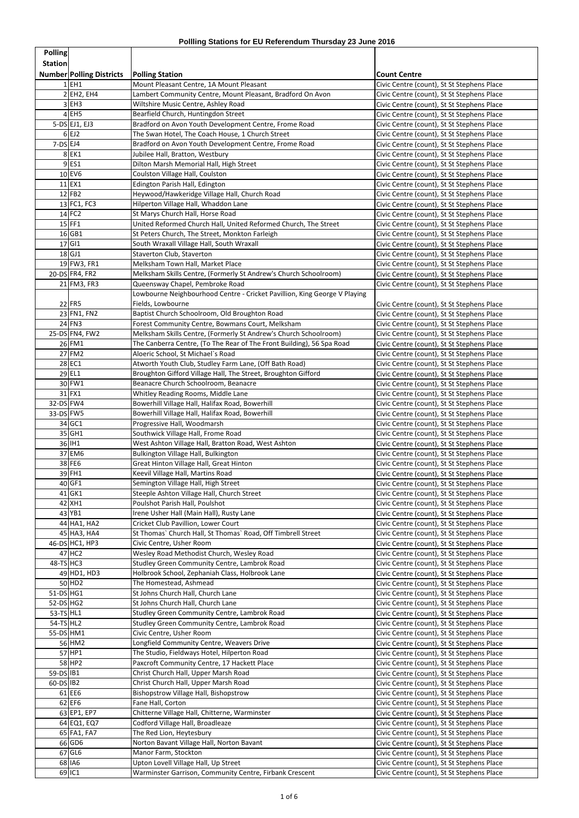| <b>Polling</b>         |                                       |                                                                                                           |                                                                                          |
|------------------------|---------------------------------------|-----------------------------------------------------------------------------------------------------------|------------------------------------------------------------------------------------------|
| <b>Station</b>         |                                       |                                                                                                           |                                                                                          |
|                        | <b>Number Polling Districts</b>       | <b>Polling Station</b>                                                                                    | <b>Count Centre</b>                                                                      |
|                        | $1$ EH1                               | Mount Pleasant Centre, 1A Mount Pleasant                                                                  | Civic Centre (count), St St Stephens Place                                               |
|                        | $2$ EH <sub>2</sub> , EH <sub>4</sub> | Lambert Community Centre, Mount Pleasant, Bradford On Avon                                                | Civic Centre (count), St St Stephens Place                                               |
|                        | $3$ EH <sub>3</sub>                   | Wiltshire Music Centre, Ashley Road                                                                       | Civic Centre (count), St St Stephens Place                                               |
|                        | $4$ EH5                               | Bearfield Church, Huntingdon Street                                                                       | Civic Centre (count), St St Stephens Place                                               |
|                        | $5-DS$ EJ1, EJ3<br>$6$ EJ2            | Bradford on Avon Youth Development Centre, Frome Road<br>The Swan Hotel, The Coach House, 1 Church Street | Civic Centre (count), St St Stephens Place                                               |
| $7-DS EJ4$             |                                       | Bradford on Avon Youth Development Centre, Frome Road                                                     | Civic Centre (count), St St Stephens Place<br>Civic Centre (count), St St Stephens Place |
|                        | $8$ EK1                               | Jubilee Hall, Bratton, Westbury                                                                           | Civic Centre (count), St St Stephens Place                                               |
|                        | $9$ ES1                               | Dilton Marsh Memorial Hall, High Street                                                                   | Civic Centre (count), St St Stephens Place                                               |
|                        | $10$ EV6                              | Coulston Village Hall, Coulston                                                                           | Civic Centre (count), St St Stephens Place                                               |
|                        | $11$ EX1                              | Edington Parish Hall, Edington                                                                            | Civic Centre (count), St St Stephens Place                                               |
|                        | $12$ FB2                              | Heywood/Hawkeridge Village Hall, Church Road                                                              | Civic Centre (count), St St Stephens Place                                               |
|                        | 13 FC1, FC3                           | Hilperton Village Hall, Whaddon Lane                                                                      | Civic Centre (count), St St Stephens Place                                               |
|                        | $14$ FC2                              | St Marys Church Hall, Horse Road                                                                          | Civic Centre (count), St St Stephens Place                                               |
|                        | $15$ FF1                              | United Reformed Church Hall, United Reformed Church, The Street                                           | Civic Centre (count), St St Stephens Place                                               |
|                        | $16$ GB1<br>$17$ GI1                  | St Peters Church, The Street, Monkton Farleigh<br>South Wraxall Village Hall, South Wraxall               | Civic Centre (count), St St Stephens Place<br>Civic Centre (count), St St Stephens Place |
|                        | $18$ GJ1                              | Staverton Club, Staverton                                                                                 | Civic Centre (count), St St Stephens Place                                               |
|                        | 19 FW3, FR1                           | Melksham Town Hall, Market Place                                                                          | Civic Centre (count), St St Stephens Place                                               |
|                        | 20-DS FR4, FR2                        | Melksham Skills Centre, (Formerly St Andrew's Church Schoolroom)                                          | Civic Centre (count), St St Stephens Place                                               |
|                        | 21 FM3, FR3                           | Queensway Chapel, Pembroke Road                                                                           | Civic Centre (count), St St Stephens Place                                               |
|                        |                                       | Lowbourne Neighbourhood Centre - Cricket Pavillion, King George V Playing                                 |                                                                                          |
|                        | $22$ FR5                              | Fields, Lowbourne                                                                                         | Civic Centre (count), St St Stephens Place                                               |
|                        | 23 FN1, FN2                           | Baptist Church Schoolroom, Old Broughton Road                                                             | Civic Centre (count), St St Stephens Place                                               |
|                        | $24$ FN3                              | Forest Community Centre, Bowmans Court, Melksham                                                          | Civic Centre (count), St St Stephens Place                                               |
|                        | 25-DS FN4, FW2                        | Melksham Skills Centre, (Formerly St Andrew's Church Schoolroom)                                          | Civic Centre (count), St St Stephens Place                                               |
|                        | $26$ FM1                              | The Canberra Centre, (To The Rear of The Front Building), 56 Spa Road                                     | Civic Centre (count), St St Stephens Place                                               |
|                        | 27 FM2<br>28 EC1                      | Aloeric School, St Michael's Road<br>Atworth Youth Club, Studley Farm Lane, (Off Bath Road)               | Civic Centre (count), St St Stephens Place<br>Civic Centre (count), St St Stephens Place |
|                        | $29$ EL1                              | Broughton Gifford Village Hall, The Street, Broughton Gifford                                             | Civic Centre (count), St St Stephens Place                                               |
|                        | 30 FW1                                | Beanacre Church Schoolroom, Beanacre                                                                      | Civic Centre (count), St St Stephens Place                                               |
|                        | $31$ FX1                              | Whitley Reading Rooms, Middle Lane                                                                        | Civic Centre (count), St St Stephens Place                                               |
| 32-DS FW4              |                                       | Bowerhill Village Hall, Halifax Road, Bowerhill                                                           | Civic Centre (count), St St Stephens Place                                               |
| 33-DS FW5              |                                       | Bowerhill Village Hall, Halifax Road, Bowerhill                                                           | Civic Centre (count), St St Stephens Place                                               |
|                        | 34 GC1                                | Progressive Hall, Woodmarsh                                                                               | Civic Centre (count), St St Stephens Place                                               |
|                        | 35 GH1                                | Southwick Village Hall, Frome Road                                                                        | Civic Centre (count), St St Stephens Place                                               |
|                        | 36 IH1                                | West Ashton Village Hall, Bratton Road, West Ashton                                                       | Civic Centre (count), St St Stephens Place                                               |
|                        | 37 EM6<br>38 FE6                      | Bulkington Village Hall, Bulkington                                                                       | Civic Centre (count), St St Stephens Place                                               |
|                        | 39 FH1                                | Great Hinton Village Hall, Great Hinton<br>Keevil Village Hall, Martins Road                              | Civic Centre (count), St St Stephens Place<br>Civic Centre (count), St St Stephens Place |
|                        | $40$ GF1                              | Semington Village Hall, High Street                                                                       | Civic Centre (count), St St Stephens Place                                               |
|                        | $41$ GK1                              | Steeple Ashton Village Hall, Church Street                                                                | Civic Centre (count), St St Stephens Place                                               |
|                        | 42 XH1                                | Poulshot Parish Hall, Poulshot                                                                            | Civic Centre (count), St St Stephens Place                                               |
|                        | $43$ YB1                              | Irene Usher Hall (Main Hall), Rusty Lane                                                                  | Civic Centre (count), St St Stephens Place                                               |
|                        | 44 HA1, HA2                           | Cricket Club Pavillion, Lower Court                                                                       | Civic Centre (count), St St Stephens Place                                               |
|                        | 45 HA3, HA4                           | St Thomas` Church Hall, St Thomas` Road, Off Timbrell Street                                              | Civic Centre (count), St St Stephens Place                                               |
|                        | 46-DS HC1, HP3                        | Civic Centre, Usher Room                                                                                  | Civic Centre (count), St St Stephens Place                                               |
|                        | $47$ HC2                              | Wesley Road Methodist Church, Wesley Road                                                                 | Civic Centre (count), St St Stephens Place                                               |
| $48-TS$ HC3            | 49 HD1, HD3                           | Studley Green Community Centre, Lambrok Road<br>Holbrook School, Zephaniah Class, Holbrook Lane           | Civic Centre (count), St St Stephens Place<br>Civic Centre (count), St St Stephens Place |
|                        | $50$ HD2                              | The Homestead, Ashmead                                                                                    | Civic Centre (count), St St Stephens Place                                               |
| $51-DS$ HG1            |                                       | St Johns Church Hall, Church Lane                                                                         | Civic Centre (count), St St Stephens Place                                               |
| $52-DS$ HG2            |                                       | St Johns Church Hall, Church Lane                                                                         | Civic Centre (count), St St Stephens Place                                               |
| $53-TS$ HL1            |                                       | Studley Green Community Centre, Lambrok Road                                                              | Civic Centre (count), St St Stephens Place                                               |
| $54-TS$ HL2            |                                       | Studley Green Community Centre, Lambrok Road                                                              | Civic Centre (count), St St Stephens Place                                               |
| 55-DS HM1              |                                       | Civic Centre, Usher Room                                                                                  | Civic Centre (count), St St Stephens Place                                               |
|                        | 56 HM2                                | Longfield Community Centre, Weavers Drive                                                                 | Civic Centre (count), St St Stephens Place                                               |
|                        | $57$ HP1                              | The Studio, Fieldways Hotel, Hilperton Road                                                               | Civic Centre (count), St St Stephens Place                                               |
|                        | 58 HP2                                | Paxcroft Community Centre, 17 Hackett Place                                                               | Civic Centre (count), St St Stephens Place                                               |
| 59-DS IB1<br>60-DS IB2 |                                       | Christ Church Hall, Upper Marsh Road<br>Christ Church Hall, Upper Marsh Road                              | Civic Centre (count), St St Stephens Place<br>Civic Centre (count), St St Stephens Place |
|                        | $61$ EE6                              | Bishopstrow Village Hall, Bishopstrow                                                                     | Civic Centre (count), St St Stephens Place                                               |
|                        | $62$ EF6                              | Fane Hall, Corton                                                                                         | Civic Centre (count), St St Stephens Place                                               |
|                        | 63 EP1, EP7                           | Chitterne Village Hall, Chitterne, Warminster                                                             | Civic Centre (count), St St Stephens Place                                               |
|                        | 64 EQ1, EQ7                           | Codford Village Hall, Broadleaze                                                                          | Civic Centre (count), St St Stephens Place                                               |
|                        | 65 FA1, FA7                           | The Red Lion, Heytesbury                                                                                  | Civic Centre (count), St St Stephens Place                                               |
|                        | 66 GD6                                | Norton Bavant Village Hall, Norton Bavant                                                                 | Civic Centre (count), St St Stephens Place                                               |
|                        | $67$ GL6                              | Manor Farm, Stockton                                                                                      | Civic Centre (count), St St Stephens Place                                               |
|                        | 68 IA6                                | Upton Lovell Village Hall, Up Street                                                                      | Civic Centre (count), St St Stephens Place                                               |
|                        | 69 IC1                                | Warminster Garrison, Community Centre, Firbank Crescent                                                   | Civic Centre (count), St St Stephens Place                                               |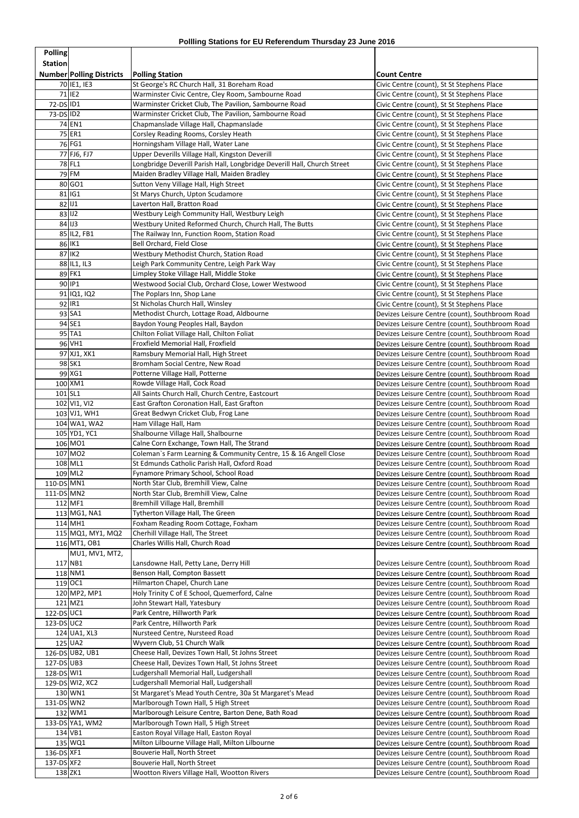| <b>Polling</b>           |                                 |                                                                                                  |                                                                                                    |
|--------------------------|---------------------------------|--------------------------------------------------------------------------------------------------|----------------------------------------------------------------------------------------------------|
| Station                  |                                 |                                                                                                  |                                                                                                    |
|                          | <b>Number Polling Districts</b> | <b>Polling Station</b>                                                                           | <b>Count Centre</b>                                                                                |
|                          | 70 IE1, IE3                     | St George's RC Church Hall, 31 Boreham Road                                                      | Civic Centre (count), St St Stephens Place                                                         |
|                          | $71$ IE2                        | Warminster Civic Centre, Cley Room, Sambourne Road                                               | Civic Centre (count), St St Stephens Place                                                         |
| 72-DS ID1<br>73-DS ID2   |                                 | Warminster Cricket Club, The Pavilion, Sambourne Road                                            | Civic Centre (count), St St Stephens Place                                                         |
|                          | 74 EN1                          | Warminster Cricket Club, The Pavilion, Sambourne Road<br>Chapmanslade Village Hall, Chapmanslade | Civic Centre (count), St St Stephens Place<br>Civic Centre (count), St St Stephens Place           |
|                          | 75 ER1                          | Corsley Reading Rooms, Corsley Heath                                                             | Civic Centre (count), St St Stephens Place                                                         |
|                          | 76 FG1                          | Horningsham Village Hall, Water Lane                                                             | Civic Centre (count), St St Stephens Place                                                         |
|                          | 77 FJ6, FJ7                     | Upper Deverills Village Hall, Kingston Deverill                                                  | Civic Centre (count), St St Stephens Place                                                         |
|                          | 78 FL1                          | Longbridge Deverill Parish Hall, Longbridge Deverill Hall, Church Street                         | Civic Centre (count), St St Stephens Place                                                         |
|                          | $79$ FM                         | Maiden Bradley Village Hall, Maiden Bradley                                                      | Civic Centre (count), St St Stephens Place                                                         |
|                          | 80 GO1                          | Sutton Veny Village Hall, High Street                                                            | Civic Centre (count), St St Stephens Place                                                         |
|                          | 81 IG1                          | St Marys Church, Upton Scudamore                                                                 | Civic Centre (count), St St Stephens Place                                                         |
|                          | $82$ U1                         | Laverton Hall, Bratton Road                                                                      | Civic Centre (count), St St Stephens Place                                                         |
|                          | $83$ U2                         | Westbury Leigh Community Hall, Westbury Leigh                                                    | Civic Centre (count), St St Stephens Place                                                         |
|                          | $84$ JJ3                        | Westbury United Reformed Church, Church Hall, The Butts                                          | Civic Centre (count), St St Stephens Place                                                         |
|                          | 85 IL2, FB1<br>86 IK1           | The Railway Inn, Function Room, Station Road<br>Bell Orchard, Field Close                        | Civic Centre (count), St St Stephens Place<br>Civic Centre (count), St St Stephens Place           |
|                          | 87 IK2                          | Westbury Methodist Church, Station Road                                                          | Civic Centre (count), St St Stephens Place                                                         |
|                          | 88 IL1, IL3                     | Leigh Park Community Centre, Leigh Park Way                                                      | Civic Centre (count), St St Stephens Place                                                         |
|                          | 89 FK1                          | Limpley Stoke Village Hall, Middle Stoke                                                         | Civic Centre (count), St St Stephens Place                                                         |
|                          | 90 IP1                          | Westwood Social Club, Orchard Close, Lower Westwood                                              | Civic Centre (count), St St Stephens Place                                                         |
|                          | 91 IQ1, IQ2                     | The Poplars Inn, Shop Lane                                                                       | Civic Centre (count), St St Stephens Place                                                         |
|                          | $92$  IR1                       | St Nicholas Church Hall, Winsley                                                                 | Civic Centre (count), St St Stephens Place                                                         |
|                          | 93 SA1                          | Methodist Church, Lottage Road, Aldbourne                                                        | Devizes Leisure Centre (count), Southbroom Road                                                    |
|                          | $94$ SE1                        | Baydon Young Peoples Hall, Baydon                                                                | Devizes Leisure Centre (count), Southbroom Road                                                    |
|                          | $95$ <sup>TA1</sup>             | Chilton Foliat Village Hall, Chilton Foliat                                                      | Devizes Leisure Centre (count), Southbroom Road                                                    |
|                          | 96 VH1                          | Froxfield Memorial Hall, Froxfield                                                               | Devizes Leisure Centre (count), Southbroom Road                                                    |
|                          | 97 XJ1, XK1                     | Ramsbury Memorial Hall, High Street                                                              | Devizes Leisure Centre (count), Southbroom Road                                                    |
|                          | 98 SK1                          | Bromham Social Centre, New Road                                                                  | Devizes Leisure Centre (count), Southbroom Road                                                    |
|                          | 99 XG1                          | Potterne Village Hall, Potterne                                                                  | Devizes Leisure Centre (count), Southbroom Road                                                    |
| 101 SL1                  | 100 XM1                         | Rowde Village Hall, Cock Road<br>All Saints Church Hall, Church Centre, Eastcourt                | Devizes Leisure Centre (count), Southbroom Road<br>Devizes Leisure Centre (count), Southbroom Road |
|                          | 102 VI1, VI2                    | East Grafton Coronation Hall, East Grafton                                                       | Devizes Leisure Centre (count), Southbroom Road                                                    |
|                          | 103 VJ1, WH1                    | Great Bedwyn Cricket Club, Frog Lane                                                             | Devizes Leisure Centre (count), Southbroom Road                                                    |
|                          | 104 WA1, WA2                    | Ham Village Hall, Ham                                                                            | Devizes Leisure Centre (count), Southbroom Road                                                    |
|                          | 105 YD1, YC1                    | Shalbourne Village Hall, Shalbourne                                                              | Devizes Leisure Centre (count), Southbroom Road                                                    |
|                          | 106 MO1                         | Calne Corn Exchange, Town Hall, The Strand                                                       | Devizes Leisure Centre (count), Southbroom Road                                                    |
|                          | 107 MO2                         | Coleman's Farm Learning & Community Centre, 15 & 16 Angell Close                                 | Devizes Leisure Centre (count), Southbroom Road                                                    |
|                          | 108 ML1                         | St Edmunds Catholic Parish Hall, Oxford Road                                                     | Devizes Leisure Centre (count), Southbroom Road                                                    |
|                          | 109 ML2                         | Fynamore Primary School, School Road                                                             | Devizes Leisure Centre (count), Southbroom Road                                                    |
| 110-DS MN1               |                                 | North Star Club, Bremhill View, Calne                                                            | Devizes Leisure Centre (count), Southbroom Road                                                    |
| 111-DS MN2               |                                 | North Star Club, Bremhill View, Calne                                                            | Devizes Leisure Centre (count), Southbroom Road                                                    |
|                          | 112 MF1                         | Bremhill Village Hall, Bremhill                                                                  | Devizes Leisure Centre (count), Southbroom Road                                                    |
|                          | 113 MG1, NA1<br>114 MH1         | Tytherton Village Hall, The Green<br>Foxham Reading Room Cottage, Foxham                         | Devizes Leisure Centre (count), Southbroom Road                                                    |
|                          | 115 MQ1, MY1, MQ2               | Cherhill Village Hall, The Street                                                                | Devizes Leisure Centre (count), Southbroom Road<br>Devizes Leisure Centre (count), Southbroom Road |
|                          | 116 MT1, OB1                    | Charles Willis Hall, Church Road                                                                 | Devizes Leisure Centre (count), Southbroom Road                                                    |
|                          | MU1, MV1, MT2,                  |                                                                                                  |                                                                                                    |
|                          | 117 NB1                         | Lansdowne Hall, Petty Lane, Derry Hill                                                           | Devizes Leisure Centre (count), Southbroom Road                                                    |
|                          | 118 NM1                         | Benson Hall, Compton Bassett                                                                     | Devizes Leisure Centre (count), Southbroom Road                                                    |
|                          | 119 OC1                         | Hilmarton Chapel, Church Lane                                                                    | Devizes Leisure Centre (count), Southbroom Road                                                    |
|                          | 120 MP2, MP1                    | Holy Trinity C of E School, Quemerford, Calne                                                    | Devizes Leisure Centre (count), Southbroom Road                                                    |
|                          | 121 MZ1                         | John Stewart Hall, Yatesbury                                                                     | Devizes Leisure Centre (count), Southbroom Road                                                    |
| 122-DS UC1               |                                 | Park Centre, Hillworth Park                                                                      | Devizes Leisure Centre (count), Southbroom Road                                                    |
| $123-DS$ UC2             |                                 | Park Centre, Hillworth Park                                                                      | Devizes Leisure Centre (count), Southbroom Road                                                    |
|                          | 124 UA1, XL3                    | Nursteed Centre, Nursteed Road                                                                   | Devizes Leisure Centre (count), Southbroom Road                                                    |
|                          | $125$ UA2                       | Wyvern Club, 51 Church Walk                                                                      | Devizes Leisure Centre (count), Southbroom Road                                                    |
|                          | 126-DS UB2, UB1                 | Cheese Hall, Devizes Town Hall, St Johns Street                                                  | Devizes Leisure Centre (count), Southbroom Road                                                    |
| 127-DS UB3<br>128-DS WI1 |                                 | Cheese Hall, Devizes Town Hall, St Johns Street<br>Ludgershall Memorial Hall, Ludgershall        | Devizes Leisure Centre (count), Southbroom Road<br>Devizes Leisure Centre (count), Southbroom Road |
|                          | 129-DS WI2, XC2                 | Ludgershall Memorial Hall, Ludgershall                                                           | Devizes Leisure Centre (count), Southbroom Road                                                    |
|                          | 130 WN1                         | St Margaret's Mead Youth Centre, 30a St Margaret's Mead                                          | Devizes Leisure Centre (count), Southbroom Road                                                    |
| 131-DS WN2               |                                 | Marlborough Town Hall, 5 High Street                                                             | Devizes Leisure Centre (count), Southbroom Road                                                    |
|                          | 132 WM1                         | Marlborough Leisure Centre, Barton Dene, Bath Road                                               | Devizes Leisure Centre (count), Southbroom Road                                                    |
|                          | 133-DS YA1, WM2                 | Marlborough Town Hall, 5 High Street                                                             | Devizes Leisure Centre (count), Southbroom Road                                                    |
|                          | $134$ VB1                       | Easton Royal Village Hall, Easton Royal                                                          | Devizes Leisure Centre (count), Southbroom Road                                                    |
|                          | 135 WQ1                         | Milton Lilbourne Village Hall, Milton Lilbourne                                                  | Devizes Leisure Centre (count), Southbroom Road                                                    |
| 136-DS XF1               |                                 | Bouverie Hall, North Street                                                                      | Devizes Leisure Centre (count), Southbroom Road                                                    |
| 137-DS XF2               |                                 | Bouverie Hall, North Street                                                                      | Devizes Leisure Centre (count), Southbroom Road                                                    |
|                          | 138 ZK1                         | Wootton Rivers Village Hall, Wootton Rivers                                                      | Devizes Leisure Centre (count), Southbroom Road                                                    |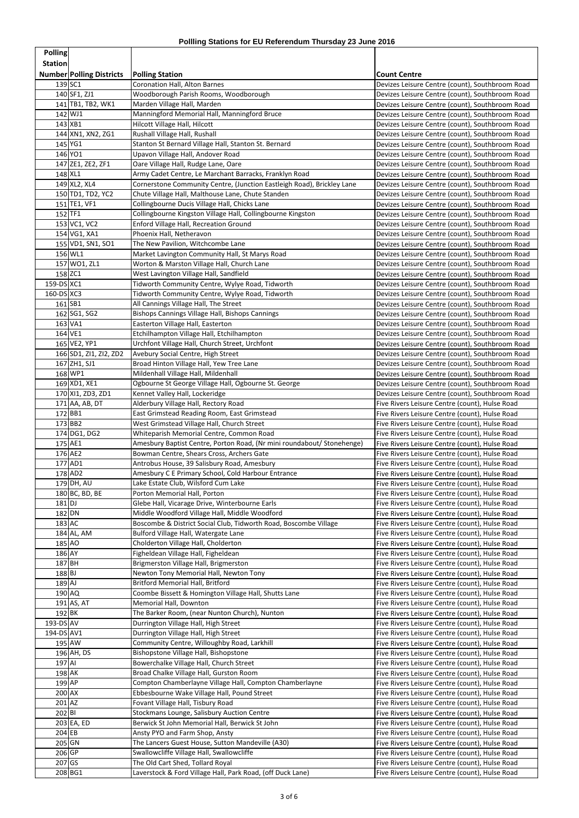| <b>Polling</b>        |                                 |                                                                                                |                                                                                                    |
|-----------------------|---------------------------------|------------------------------------------------------------------------------------------------|----------------------------------------------------------------------------------------------------|
| <b>Station</b>        |                                 |                                                                                                |                                                                                                    |
|                       | <b>Number Polling Districts</b> | <b>Polling Station</b>                                                                         | Count Centre                                                                                       |
|                       | 139 SC1                         | <b>Coronation Hall, Alton Barnes</b>                                                           | Devizes Leisure Centre (count), Southbroom Road                                                    |
|                       | 140 SF1, ZJ1                    | Woodborough Parish Rooms, Woodborough                                                          | Devizes Leisure Centre (count), Southbroom Road                                                    |
|                       | 141 TB1, TB2, WK1<br>142 WJ1    | Marden Village Hall, Marden<br>Manningford Memorial Hall, Manningford Bruce                    | Devizes Leisure Centre (count), Southbroom Road<br>Devizes Leisure Centre (count), Southbroom Road |
|                       | $143$ XB1                       | <b>Hilcott Village Hall, Hilcott</b>                                                           | Devizes Leisure Centre (count), Southbroom Road                                                    |
|                       | 144 XN1, XN2, ZG1               | Rushall Village Hall, Rushall                                                                  | Devizes Leisure Centre (count), Southbroom Road                                                    |
|                       | 145 YG1                         | Stanton St Bernard Village Hall, Stanton St. Bernard                                           | Devizes Leisure Centre (count), Southbroom Road                                                    |
|                       | 146 YO1                         | Upavon Village Hall, Andover Road                                                              | Devizes Leisure Centre (count), Southbroom Road                                                    |
|                       | 147 ZE1, ZE2, ZF1               | Oare Village Hall, Rudge Lane, Oare                                                            | Devizes Leisure Centre (count), Southbroom Road                                                    |
|                       | 148 XL1                         | Army Cadet Centre, Le Marchant Barracks, Franklyn Road                                         | Devizes Leisure Centre (count), Southbroom Road                                                    |
|                       | 149 XL2, XL4                    | Cornerstone Community Centre, (Junction Eastleigh Road), Brickley Lane                         | Devizes Leisure Centre (count), Southbroom Road                                                    |
|                       | 150 TD1, TD2, YC2               | Chute Village Hall, Malthouse Lane, Chute Standen                                              | Devizes Leisure Centre (count), Southbroom Road                                                    |
|                       | 151 TE1, VF1                    | Collingbourne Ducis Village Hall, Chicks Lane                                                  | Devizes Leisure Centre (count), Southbroom Road                                                    |
|                       | 152 TF1                         | Collingbourne Kingston Village Hall, Collingbourne Kingston                                    | Devizes Leisure Centre (count), Southbroom Road                                                    |
|                       | 153 VC1, VC2<br>154 VG1, XA1    | Enford Village Hall, Recreation Ground                                                         | Devizes Leisure Centre (count), Southbroom Road                                                    |
|                       | 155 VD1, SN1, SO1               | Phoenix Hall, Netheravon<br>The New Pavilion, Witchcombe Lane                                  | Devizes Leisure Centre (count), Southbroom Road<br>Devizes Leisure Centre (count), Southbroom Road |
|                       | 156 WL1                         | Market Lavington Community Hall, St Marys Road                                                 | Devizes Leisure Centre (count), Southbroom Road                                                    |
|                       | 157 WO1, ZL1                    | Worton & Marston Village Hall, Church Lane                                                     | Devizes Leisure Centre (count), Southbroom Road                                                    |
|                       | 158 ZC1                         | West Lavington Village Hall, Sandfield                                                         | Devizes Leisure Centre (count), Southbroom Road                                                    |
| 159-DS XC1            |                                 | Tidworth Community Centre, Wylye Road, Tidworth                                                | Devizes Leisure Centre (count), Southbroom Road                                                    |
| 160-DS XC3            |                                 | Tidworth Community Centre, Wylye Road, Tidworth                                                | Devizes Leisure Centre (count), Southbroom Road                                                    |
|                       | 161 SB1                         | All Cannings Village Hall, The Street                                                          | Devizes Leisure Centre (count), Southbroom Road                                                    |
|                       | 162 SG1, SG2                    | Bishops Cannings Village Hall, Bishops Cannings                                                | Devizes Leisure Centre (count), Southbroom Road                                                    |
|                       | 163 VA1                         | Easterton Village Hall, Easterton                                                              | Devizes Leisure Centre (count), Southbroom Road                                                    |
|                       | 164 VE1                         | Etchilhampton Village Hall, Etchilhampton                                                      | Devizes Leisure Centre (count), Southbroom Road                                                    |
|                       | 165 VE2, YP1                    | Urchfont Village Hall, Church Street, Urchfont                                                 | Devizes Leisure Centre (count), Southbroom Road                                                    |
|                       | 166 SD1, ZI1, ZI2, ZD2          | Avebury Social Centre, High Street                                                             | Devizes Leisure Centre (count), Southbroom Road                                                    |
|                       | 167 ZH1, SJ1<br>168 WP1         | Broad Hinton Village Hall, Yew Tree Lane<br>Mildenhall Village Hall, Mildenhall                | Devizes Leisure Centre (count), Southbroom Road                                                    |
|                       | 169 XD1, XE1                    | Ogbourne St George Village Hall, Ogbourne St. George                                           | Devizes Leisure Centre (count), Southbroom Road<br>Devizes Leisure Centre (count), Southbroom Road |
|                       | 170 XI1, ZD3, ZD1               | Kennet Valley Hall, Lockeridge                                                                 | Devizes Leisure Centre (count), Southbroom Road                                                    |
|                       | $171$ AA, AB, DT                | Alderbury Village Hall, Rectory Road                                                           | Five Rivers Leisure Centre (count), Hulse Road                                                     |
|                       | 172 BB1                         | East Grimstead Reading Room, East Grimstead                                                    | Five Rivers Leisure Centre (count), Hulse Road                                                     |
|                       | $173$ BB2                       | West Grimstead Village Hall, Church Street                                                     | Five Rivers Leisure Centre (count), Hulse Road                                                     |
|                       | 174 DG1, DG2                    | Whiteparish Memorial Centre, Common Road                                                       | Five Rivers Leisure Centre (count), Hulse Road                                                     |
|                       | 175 AE1                         | Amesbury Baptist Centre, Porton Road, (Nr mini roundabout/ Stonehenge)                         | Five Rivers Leisure Centre (count), Hulse Road                                                     |
|                       | 176 AE2                         | Bowman Centre, Shears Cross, Archers Gate                                                      | Five Rivers Leisure Centre (count), Hulse Road                                                     |
|                       | $177$ AD1                       | Antrobus House, 39 Salisbury Road, Amesbury                                                    | Five Rivers Leisure Centre (count), Hulse Road                                                     |
|                       | 178 AD2                         | Amesbury C E Primary School, Cold Harbour Entrance                                             | Five Rivers Leisure Centre (count), Hulse Road                                                     |
|                       | 179 DH, AU<br>180 BC, BD, BE    | Lake Estate Club, Wilsford Cum Lake<br>Porton Memorial Hall, Porton                            | Five Rivers Leisure Centre (count), Hulse Road                                                     |
| $181$ DJ              |                                 | Glebe Hall, Vicarage Drive, Winterbourne Earls                                                 | Five Rivers Leisure Centre (count), Hulse Road<br>Five Rivers Leisure Centre (count), Hulse Road   |
| 182 DN                |                                 | Middle Woodford Village Hall, Middle Woodford                                                  | Five Rivers Leisure Centre (count), Hulse Road                                                     |
| $183$ AC              |                                 | Boscombe & District Social Club, Tidworth Road, Boscombe Village                               | Five Rivers Leisure Centre (count), Hulse Road                                                     |
|                       | 184 AL, AM                      | Bulford Village Hall, Watergate Lane                                                           | Five Rivers Leisure Centre (count), Hulse Road                                                     |
| 185 AO                |                                 | Cholderton Village Hall, Cholderton                                                            | Five Rivers Leisure Centre (count), Hulse Road                                                     |
| 186 AY                |                                 | Figheldean Village Hall, Figheldean                                                            | Five Rivers Leisure Centre (count), Hulse Road                                                     |
| $187$ BH              |                                 | Brigmerston Village Hall, Brigmerston                                                          | Five Rivers Leisure Centre (count), Hulse Road                                                     |
| $188$ BJ              |                                 | Newton Tony Memorial Hall, Newton Tony                                                         | Five Rivers Leisure Centre (count), Hulse Road                                                     |
| $189$ AJ              |                                 | <b>Britford Memorial Hall, Britford</b>                                                        | Five Rivers Leisure Centre (count), Hulse Road                                                     |
| 190 AQ                |                                 | Coombe Bissett & Homington Village Hall, Shutts Lane                                           | Five Rivers Leisure Centre (count), Hulse Road                                                     |
|                       | $191$ AS, AT                    | Memorial Hall, Downton                                                                         | Five Rivers Leisure Centre (count), Hulse Road                                                     |
| 192 BK<br>$193-DS$ AV |                                 | The Barker Room, (near Nunton Church), Nunton<br>Durrington Village Hall, High Street          | Five Rivers Leisure Centre (count), Hulse Road<br>Five Rivers Leisure Centre (count), Hulse Road   |
| 194-DS AV1            |                                 | Durrington Village Hall, High Street                                                           | Five Rivers Leisure Centre (count), Hulse Road                                                     |
|                       | 195 AW                          | Community Centre, Willoughby Road, Larkhill                                                    | Five Rivers Leisure Centre (count), Hulse Road                                                     |
|                       | $196$ AH, DS                    | Bishopstone Village Hall, Bishopstone                                                          | Five Rivers Leisure Centre (count), Hulse Road                                                     |
| $197$ AI              |                                 | Bowerchalke Village Hall, Church Street                                                        | Five Rivers Leisure Centre (count), Hulse Road                                                     |
| 198 AK                |                                 | Broad Chalke Village Hall, Gurston Room                                                        | Five Rivers Leisure Centre (count), Hulse Road                                                     |
| 199 AP                |                                 | Compton Chamberlayne Village Hall, Compton Chamberlayne                                        | Five Rivers Leisure Centre (count), Hulse Road                                                     |
| $200$ AX              |                                 | Ebbesbourne Wake Village Hall, Pound Street                                                    | Five Rivers Leisure Centre (count), Hulse Road                                                     |
| $201$ AZ              |                                 | Fovant Village Hall, Tisbury Road                                                              | Five Rivers Leisure Centre (count), Hulse Road                                                     |
| 202BI                 |                                 | Stockmans Lounge, Salisbury Auction Centre                                                     | Five Rivers Leisure Centre (count), Hulse Road                                                     |
|                       | 203 EA, ED                      | Berwick St John Memorial Hall, Berwick St John                                                 | Five Rivers Leisure Centre (count), Hulse Road                                                     |
| $204$ EB              |                                 | Ansty PYO and Farm Shop, Ansty                                                                 | Five Rivers Leisure Centre (count), Hulse Road                                                     |
| 205 GN                |                                 | The Lancers Guest House, Sutton Mandeville (A30)                                               | Five Rivers Leisure Centre (count), Hulse Road                                                     |
| 206 GP                |                                 | Swallowcliffe Village Hall, Swallowcliffe                                                      | Five Rivers Leisure Centre (count), Hulse Road                                                     |
| $207$ GS              | 208 BG1                         | The Old Cart Shed, Tollard Royal<br>Laverstock & Ford Village Hall, Park Road, (off Duck Lane) | Five Rivers Leisure Centre (count), Hulse Road                                                     |
|                       |                                 |                                                                                                | Five Rivers Leisure Centre (count), Hulse Road                                                     |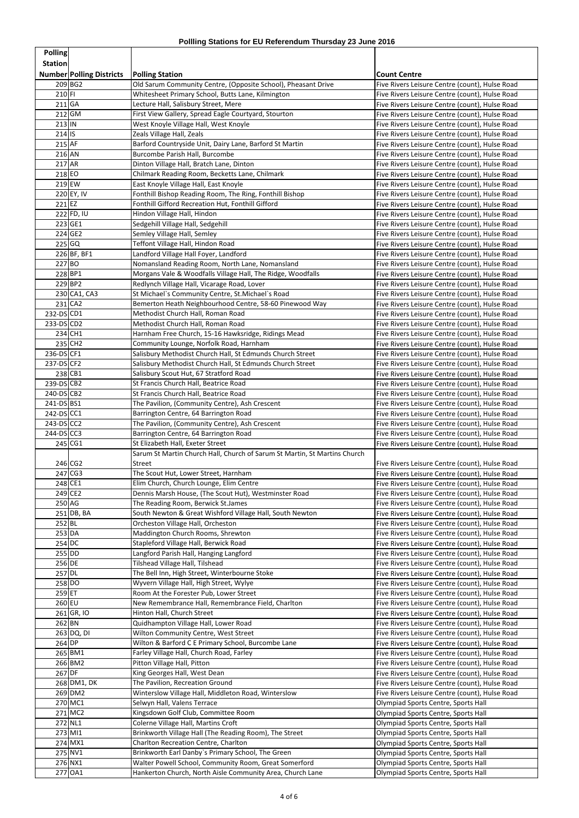| <b>Polling</b>       |                                 |                                                                                                                    |                                                                                                  |
|----------------------|---------------------------------|--------------------------------------------------------------------------------------------------------------------|--------------------------------------------------------------------------------------------------|
| <b>Station</b>       |                                 |                                                                                                                    |                                                                                                  |
|                      | <b>Number Polling Districts</b> | <b>Polling Station</b>                                                                                             | <b>Count Centre</b>                                                                              |
| 210 FI               | 209 BG2                         | Old Sarum Community Centre, (Opposite School), Pheasant Drive<br>Whitesheet Primary School, Butts Lane, Kilmington | Five Rivers Leisure Centre (count), Hulse Road                                                   |
| $211$ GA             |                                 | Lecture Hall, Salisbury Street, Mere                                                                               | Five Rivers Leisure Centre (count), Hulse Road<br>Five Rivers Leisure Centre (count), Hulse Road |
|                      | $212$ GM                        | First View Gallery, Spread Eagle Courtyard, Stourton                                                               | Five Rivers Leisure Centre (count), Hulse Road                                                   |
| $213$ IN             |                                 | West Knoyle Village Hall, West Knoyle                                                                              | Five Rivers Leisure Centre (count), Hulse Road                                                   |
| $214$ IS             |                                 | Zeals Village Hall, Zeals                                                                                          | Five Rivers Leisure Centre (count), Hulse Road                                                   |
| $215$ AF             |                                 | Barford Countryside Unit, Dairy Lane, Barford St Martin                                                            | Five Rivers Leisure Centre (count), Hulse Road                                                   |
| 216 AN               |                                 | Burcombe Parish Hall, Burcombe                                                                                     | Five Rivers Leisure Centre (count), Hulse Road                                                   |
| $217$ AR<br>$218$ EO |                                 | Dinton Village Hall, Bratch Lane, Dinton<br>Chilmark Reading Room, Becketts Lane, Chilmark                         | Five Rivers Leisure Centre (count), Hulse Road<br>Five Rivers Leisure Centre (count), Hulse Road |
|                      | $219$ EW                        | East Knoyle Village Hall, East Knoyle                                                                              | Five Rivers Leisure Centre (count), Hulse Road                                                   |
|                      | 220 EY, IV                      | Fonthill Bishop Reading Room, The Ring, Fonthill Bishop                                                            | Five Rivers Leisure Centre (count), Hulse Road                                                   |
| $221$ EZ             |                                 | Fonthill Gifford Recreation Hut, Fonthill Gifford                                                                  | Five Rivers Leisure Centre (count), Hulse Road                                                   |
|                      | 222 FD, IU                      | Hindon Village Hall, Hindon                                                                                        | Five Rivers Leisure Centre (count), Hulse Road                                                   |
|                      | 223 GE1                         | Sedgehill Village Hall, Sedgehill                                                                                  | Five Rivers Leisure Centre (count), Hulse Road                                                   |
|                      | 224 GE2<br>225 GQ               | Semley Village Hall, Semley<br>Teffont Village Hall, Hindon Road                                                   | Five Rivers Leisure Centre (count), Hulse Road<br>Five Rivers Leisure Centre (count), Hulse Road |
|                      | 226 BF, BF1                     | Landford Village Hall Foyer, Landford                                                                              | Five Rivers Leisure Centre (count), Hulse Road                                                   |
| $227$ BO             |                                 | Nomansland Reading Room, North Lane, Nomansland                                                                    | Five Rivers Leisure Centre (count), Hulse Road                                                   |
|                      | 228BP1                          | Morgans Vale & Woodfalls Village Hall, The Ridge, Woodfalls                                                        | Five Rivers Leisure Centre (count), Hulse Road                                                   |
|                      | $229$ BP2                       | Redlynch Village Hall, Vicarage Road, Lover                                                                        | Five Rivers Leisure Centre (count), Hulse Road                                                   |
|                      | 230 CA1, CA3                    | St Michael's Community Centre, St. Michael's Road                                                                  | Five Rivers Leisure Centre (count), Hulse Road                                                   |
| $232-DS CD1$         | $231$ CA2                       | Bemerton Heath Neighbourhood Centre, 58-60 Pinewood Way<br>Methodist Church Hall, Roman Road                       | Five Rivers Leisure Centre (count), Hulse Road<br>Five Rivers Leisure Centre (count), Hulse Road |
| 233-DS CD2           |                                 | Methodist Church Hall, Roman Road                                                                                  | Five Rivers Leisure Centre (count), Hulse Road                                                   |
|                      | $234$ CH1                       | Harnham Free Church, 15-16 Hawksridge, Ridings Mead                                                                | Five Rivers Leisure Centre (count), Hulse Road                                                   |
|                      | 235 CH2                         | Community Lounge, Norfolk Road, Harnham                                                                            | Five Rivers Leisure Centre (count), Hulse Road                                                   |
| $236-DS CF1$         |                                 | Salisbury Methodist Church Hall, St Edmunds Church Street                                                          | Five Rivers Leisure Centre (count), Hulse Road                                                   |
| 237-DS CF2           |                                 | Salisbury Methodist Church Hall, St Edmunds Church Street                                                          | Five Rivers Leisure Centre (count), Hulse Road                                                   |
| $239-DS$ CB2         | 238 CB1                         | Salisbury Scout Hut, 67 Stratford Road<br>St Francis Church Hall, Beatrice Road                                    | Five Rivers Leisure Centre (count), Hulse Road                                                   |
| $240 - DS$ CB2       |                                 | St Francis Church Hall, Beatrice Road                                                                              | Five Rivers Leisure Centre (count), Hulse Road<br>Five Rivers Leisure Centre (count), Hulse Road |
| 241-DS BS1           |                                 | The Pavilion, (Community Centre), Ash Crescent                                                                     | Five Rivers Leisure Centre (count), Hulse Road                                                   |
| $242-DS$ CC1         |                                 | Barrington Centre, 64 Barrington Road                                                                              | Five Rivers Leisure Centre (count), Hulse Road                                                   |
| $243-DS$ CC2         |                                 | The Pavilion, (Community Centre), Ash Crescent                                                                     | Five Rivers Leisure Centre (count), Hulse Road                                                   |
| 244-DS CC3           |                                 | Barrington Centre, 64 Barrington Road                                                                              | Five Rivers Leisure Centre (count), Hulse Road                                                   |
|                      | $245$ CG1                       | St Elizabeth Hall, Exeter Street<br>Sarum St Martin Church Hall, Church of Sarum St Martin, St Martins Church      | Five Rivers Leisure Centre (count), Hulse Road                                                   |
|                      | 246 CG2                         | Street                                                                                                             | Five Rivers Leisure Centre (count), Hulse Road                                                   |
|                      | 247 CG3                         | The Scout Hut, Lower Street, Harnham                                                                               | Five Rivers Leisure Centre (count), Hulse Road                                                   |
|                      | 248 CE1                         | Elim Church, Church Lounge, Elim Centre                                                                            | Five Rivers Leisure Centre (count), Hulse Road                                                   |
|                      | 249 CE2                         | Dennis Marsh House, (The Scout Hut), Westminster Road                                                              | Five Rivers Leisure Centre (count), Hulse Road                                                   |
| 250 AG               |                                 | The Reading Room, Berwick St.James                                                                                 | Five Rivers Leisure Centre (count), Hulse Road                                                   |
| $252$ BL             | $251$ DB, BA                    | South Newton & Great Wishford Village Hall, South Newton<br>Orcheston Village Hall, Orcheston                      | Five Rivers Leisure Centre (count), Hulse Road<br>Five Rivers Leisure Centre (count), Hulse Road |
| 253 DA               |                                 | Maddington Church Rooms, Shrewton                                                                                  | Five Rivers Leisure Centre (count), Hulse Road                                                   |
| 254 DC               |                                 | Stapleford Village Hall, Berwick Road                                                                              | Five Rivers Leisure Centre (count), Hulse Road                                                   |
| 255 DD               |                                 | Langford Parish Hall, Hanging Langford                                                                             | Five Rivers Leisure Centre (count), Hulse Road                                                   |
| 256 DE               |                                 | Tilshead Village Hall, Tilshead                                                                                    | Five Rivers Leisure Centre (count), Hulse Road                                                   |
| 257 DL               |                                 | The Bell Inn, High Street, Winterbourne Stoke                                                                      | Five Rivers Leisure Centre (count), Hulse Road                                                   |
| 259 ET               | 258 DO                          | Wyvern Village Hall, High Street, Wylye<br>Room At the Forester Pub, Lower Street                                  | Five Rivers Leisure Centre (count), Hulse Road<br>Five Rivers Leisure Centre (count), Hulse Road |
| $260$ EU             |                                 | New Remembrance Hall, Remembrance Field, Charlton                                                                  | Five Rivers Leisure Centre (count), Hulse Road                                                   |
|                      | $261$ GR, IO                    | Hinton Hall, Church Street                                                                                         | Five Rivers Leisure Centre (count), Hulse Road                                                   |
| $262$ BN             |                                 | Quidhampton Village Hall, Lower Road                                                                               | Five Rivers Leisure Centre (count), Hulse Road                                                   |
|                      | 263 DQ, DI                      | Wilton Community Centre, West Street                                                                               | Five Rivers Leisure Centre (count), Hulse Road                                                   |
| $264$ DP             |                                 | Wilton & Barford C E Primary School, Burcombe Lane                                                                 | Five Rivers Leisure Centre (count), Hulse Road                                                   |
|                      | 265 BM1<br>$266$ BM2            | Farley Village Hall, Church Road, Farley<br>Pitton Village Hall, Pitton                                            | Five Rivers Leisure Centre (count), Hulse Road<br>Five Rivers Leisure Centre (count), Hulse Road |
| 267 DF               |                                 | King Georges Hall, West Dean                                                                                       | Five Rivers Leisure Centre (count), Hulse Road                                                   |
|                      | 268 DM1, DK                     | The Pavilion, Recreation Ground                                                                                    | Five Rivers Leisure Centre (count), Hulse Road                                                   |
|                      | 269 DM2                         | Winterslow Village Hall, Middleton Road, Winterslow                                                                | Five Rivers Leisure Centre (count), Hulse Road                                                   |
|                      | 270 MC1                         | Selwyn Hall, Valens Terrace                                                                                        | Olympiad Sports Centre, Sports Hall                                                              |
|                      | 271 MC2                         | Kingsdown Golf Club, Committee Room                                                                                | Olympiad Sports Centre, Sports Hall                                                              |
|                      | 272 NL1<br>273 MI1              | Colerne Village Hall, Martins Croft<br>Brinkworth Village Hall (The Reading Room), The Street                      | Olympiad Sports Centre, Sports Hall<br>Olympiad Sports Centre, Sports Hall                       |
|                      | 274 MX1                         | Charlton Recreation Centre, Charlton                                                                               | Olympiad Sports Centre, Sports Hall                                                              |
|                      | 275 NV1                         | Brinkworth Earl Danby's Primary School, The Green                                                                  | Olympiad Sports Centre, Sports Hall                                                              |
|                      | 276 NX1                         | Walter Powell School, Community Room, Great Somerford                                                              | Olympiad Sports Centre, Sports Hall                                                              |
|                      | 277 OA1                         | Hankerton Church, North Aisle Community Area, Church Lane                                                          | Olympiad Sports Centre, Sports Hall                                                              |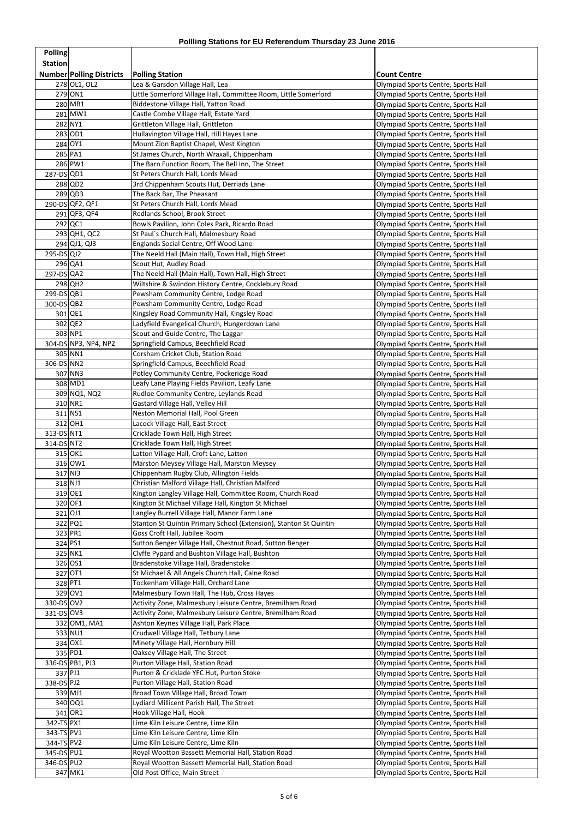| <b>Polling</b>           |                                 |                                                                                                                      |                                                                            |
|--------------------------|---------------------------------|----------------------------------------------------------------------------------------------------------------------|----------------------------------------------------------------------------|
| <b>Station</b>           |                                 |                                                                                                                      |                                                                            |
|                          | <b>Number Polling Districts</b> | <b>Polling Station</b>                                                                                               | <b>Count Centre</b>                                                        |
|                          | 278 OL1, OL2<br>279 ON1         | Lea & Garsdon Village Hall, Lea                                                                                      | Olympiad Sports Centre, Sports Hall                                        |
|                          | 280 MB1                         | Little Somerford Village Hall, Committee Room, Little Somerford<br>Biddestone Village Hall, Yatton Road              | Olympiad Sports Centre, Sports Hall<br>Olympiad Sports Centre, Sports Hall |
|                          | 281 MW1                         | Castle Combe Village Hall, Estate Yard                                                                               | Olympiad Sports Centre, Sports Hall                                        |
|                          | 282 NY1                         | Grittleton Village Hall, Grittleton                                                                                  | Olympiad Sports Centre, Sports Hall                                        |
|                          | 283 OD1                         | Hullavington Village Hall, Hill Hayes Lane                                                                           | Olympiad Sports Centre, Sports Hall                                        |
|                          | 284 OY1                         | Mount Zion Baptist Chapel, West Kington                                                                              | Olympiad Sports Centre, Sports Hall                                        |
|                          | 285 PA1                         | St James Church, North Wraxall, Chippenham                                                                           | Olympiad Sports Centre, Sports Hall                                        |
|                          | 286 PW1                         | The Barn Function Room, The Bell Inn, The Street                                                                     | Olympiad Sports Centre, Sports Hall                                        |
| 287-DS QD1               |                                 | St Peters Church Hall, Lords Mead                                                                                    | Olympiad Sports Centre, Sports Hall                                        |
|                          | 288 QD2                         | 3rd Chippenham Scouts Hut, Derriads Lane                                                                             | Olympiad Sports Centre, Sports Hall                                        |
|                          | $289$ QD3<br>290-DS QF2, QF1    | The Back Bar, The Pheasant<br>St Peters Church Hall, Lords Mead                                                      | Olympiad Sports Centre, Sports Hall                                        |
|                          | 291 QF3, QF4                    | Redlands School, Brook Street                                                                                        | Olympiad Sports Centre, Sports Hall<br>Olympiad Sports Centre, Sports Hall |
|                          | 292 QC1                         | Bowls Pavilion, John Coles Park, Ricardo Road                                                                        | Olympiad Sports Centre, Sports Hall                                        |
|                          | 293 QH1, QC2                    | St Paul's Church Hall, Malmesbury Road                                                                               | Olympiad Sports Centre, Sports Hall                                        |
|                          | 294 QJ1, QJ3                    | Englands Social Centre, Off Wood Lane                                                                                | Olympiad Sports Centre, Sports Hall                                        |
| $295-DS QJ2$             |                                 | The Neeld Hall (Main Hall), Town Hall, High Street                                                                   | Olympiad Sports Centre, Sports Hall                                        |
|                          | 296 QA1                         | Scout Hut, Audley Road                                                                                               | Olympiad Sports Centre, Sports Hall                                        |
| 297-DS QA2               |                                 | The Neeld Hall (Main Hall), Town Hall, High Street                                                                   | Olympiad Sports Centre, Sports Hall                                        |
|                          | 298 QH2                         | Wiltshire & Swindon History Centre, Cocklebury Road                                                                  | Olympiad Sports Centre, Sports Hall                                        |
| 299-DSQB1                |                                 | Pewsham Community Centre, Lodge Road                                                                                 | Olympiad Sports Centre, Sports Hall                                        |
| 300-DSQB2                | 301 QE1                         | Pewsham Community Centre, Lodge Road<br>Kingsley Road Community Hall, Kingsley Road                                  | Olympiad Sports Centre, Sports Hall<br>Olympiad Sports Centre, Sports Hall |
|                          | 302 QE2                         | Ladyfield Evangelical Church, Hungerdown Lane                                                                        | Olympiad Sports Centre, Sports Hall                                        |
|                          | 303 NP1                         | Scout and Guide Centre, The Laggar                                                                                   | Olympiad Sports Centre, Sports Hall                                        |
|                          | 304-DS NP3, NP4, NP2            | Springfield Campus, Beechfield Road                                                                                  | Olympiad Sports Centre, Sports Hall                                        |
|                          | 305 NN1                         | Corsham Cricket Club, Station Road                                                                                   | Olympiad Sports Centre, Sports Hall                                        |
| 306-DS NN2               |                                 | Springfield Campus, Beechfield Road                                                                                  | Olympiad Sports Centre, Sports Hall                                        |
|                          | 307 NN3                         | Potley Community Centre, Pockeridge Road                                                                             | Olympiad Sports Centre, Sports Hall                                        |
|                          | 308 MD1                         | Leafy Lane Playing Fields Pavilion, Leafy Lane                                                                       | Olympiad Sports Centre, Sports Hall                                        |
|                          | 309 NQ1, NQ2                    | Rudloe Community Centre, Leylands Road                                                                               | Olympiad Sports Centre, Sports Hall                                        |
|                          | 310 NR1<br>311 NS1              | Gastard Village Hall, Velley Hill<br>Neston Memorial Hall, Pool Green                                                | Olympiad Sports Centre, Sports Hall                                        |
|                          | 312 OH1                         | Lacock Village Hall, East Street                                                                                     | Olympiad Sports Centre, Sports Hall<br>Olympiad Sports Centre, Sports Hall |
| 313-DS NT1               |                                 | Cricklade Town Hall, High Street                                                                                     | Olympiad Sports Centre, Sports Hall                                        |
| 314-DS NT2               |                                 | Cricklade Town Hall, High Street                                                                                     | Olympiad Sports Centre, Sports Hall                                        |
|                          | 315 OK1                         | Latton Village Hall, Croft Lane, Latton                                                                              | Olympiad Sports Centre, Sports Hall                                        |
|                          | 316 OW1                         | Marston Meysey Village Hall, Marston Meysey                                                                          | Olympiad Sports Centre, Sports Hall                                        |
|                          | 317 NI3                         | Chippenham Rugby Club, Allington Fields                                                                              | Olympiad Sports Centre, Sports Hall                                        |
|                          | 318 NJ1                         | Christian Malford Village Hall, Christian Malford                                                                    | Olympiad Sports Centre, Sports Hall                                        |
|                          | 319 OE1                         | Kington Langley Village Hall, Committee Room, Church Road                                                            | Olympiad Sports Centre, Sports Hall                                        |
|                          | 320 OF1<br>321 OJ1              | Kington St Michael Village Hall, Kington St Michael<br>Langley Burrell Village Hall, Manor Farm Lane                 | Olympiad Sports Centre, Sports Hall                                        |
|                          | 322 PQ1                         | Stanton St Quintin Primary School (Extension), Stanton St Quintin                                                    | Olympiad Sports Centre, Sports Hall<br>Olympiad Sports Centre, Sports Hall |
|                          | 323 PR1                         | Goss Croft Hall, Jubilee Room                                                                                        | Olympiad Sports Centre, Sports Hall                                        |
|                          | 324 PS1                         | Sutton Benger Village Hall, Chestnut Road, Sutton Benger                                                             | Olympiad Sports Centre, Sports Hall                                        |
|                          | 325 NK1                         | Clyffe Pypard and Bushton Village Hall, Bushton                                                                      | Olympiad Sports Centre, Sports Hall                                        |
|                          | 326 OS1                         | Bradenstoke Village Hall, Bradenstoke                                                                                | Olympiad Sports Centre, Sports Hall                                        |
|                          | 327 OT1                         | St Michael & All Angels Church Hall, Calne Road                                                                      | Olympiad Sports Centre, Sports Hall                                        |
|                          | 328 PT1                         | Tockenham Village Hall, Orchard Lane                                                                                 | Olympiad Sports Centre, Sports Hall                                        |
|                          | 329 OV1                         | Malmesbury Town Hall, The Hub, Cross Hayes                                                                           | Olympiad Sports Centre, Sports Hall                                        |
| 330-DS OV2<br>331-DS 0V3 |                                 | Activity Zone, Malmesbury Leisure Centre, Bremilham Road<br>Activity Zone, Malmesbury Leisure Centre, Bremilham Road | Olympiad Sports Centre, Sports Hall<br>Olympiad Sports Centre, Sports Hall |
|                          | 332 OM1, MA1                    | Ashton Keynes Village Hall, Park Place                                                                               | Olympiad Sports Centre, Sports Hall                                        |
|                          | 333 NU1                         | Crudwell Village Hall, Tetbury Lane                                                                                  | Olympiad Sports Centre, Sports Hall                                        |
|                          | 334 OX1                         | Minety Village Hall, Hornbury Hill                                                                                   | Olympiad Sports Centre, Sports Hall                                        |
|                          | 335 PD1                         | Oaksey Village Hall, The Street                                                                                      | Olympiad Sports Centre, Sports Hall                                        |
|                          | 336-DS PB1, PJ3                 | Purton Village Hall, Station Road                                                                                    | Olympiad Sports Centre, Sports Hall                                        |
|                          | 337 PJ1                         | Purton & Cricklade YFC Hut, Purton Stoke                                                                             | Olympiad Sports Centre, Sports Hall                                        |
| 338-DS PJ2               |                                 | Purton Village Hall, Station Road                                                                                    | Olympiad Sports Centre, Sports Hall                                        |
|                          | 339 MJ1                         | Broad Town Village Hall, Broad Town                                                                                  | Olympiad Sports Centre, Sports Hall                                        |
|                          | 340 0Q1<br>341 OR1              | Lydiard Millicent Parish Hall, The Street<br>Hook Village Hall, Hook                                                 | Olympiad Sports Centre, Sports Hall<br>Olympiad Sports Centre, Sports Hall |
| 342-TS PX1               |                                 | Lime Kiln Leisure Centre, Lime Kiln                                                                                  | Olympiad Sports Centre, Sports Hall                                        |
| 343-TS PV1               |                                 | Lime Kiln Leisure Centre, Lime Kiln                                                                                  | Olympiad Sports Centre, Sports Hall                                        |
| 344-TS PV2               |                                 | Lime Kiln Leisure Centre, Lime Kiln                                                                                  | Olympiad Sports Centre, Sports Hall                                        |
| 345-DS PU1               |                                 | Royal Wootton Bassett Memorial Hall, Station Road                                                                    | Olympiad Sports Centre, Sports Hall                                        |
| 346-DS PU2               |                                 | Royal Wootton Bassett Memorial Hall, Station Road                                                                    | Olympiad Sports Centre, Sports Hall                                        |
|                          | 347 MK1                         | Old Post Office, Main Street                                                                                         | Olympiad Sports Centre, Sports Hall                                        |